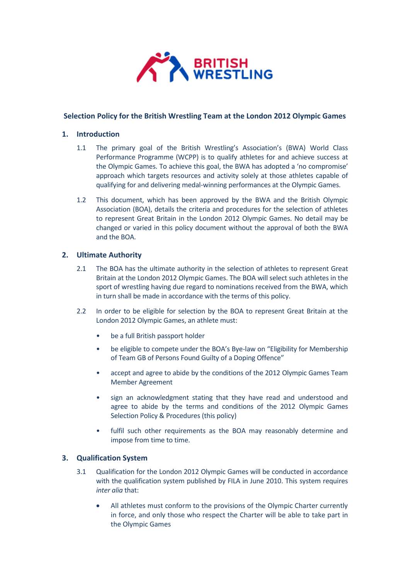

# **Selection Policy for the British Wrestling Team at the London 2012 Olympic Games**

# **1. Introduction**

- 1.1 The primary goal of the British Wrestling's Association's (BWA) World Class Performance Programme (WCPP) is to qualify athletes for and achieve success at the Olympic Games. To achieve this goal, the BWA has adopted a 'no compromise' approach which targets resources and activity solely at those athletes capable of qualifying for and delivering medal-winning performances at the Olympic Games.
- 1.2 This document, which has been approved by the BWA and the British Olympic Association (BOA), details the criteria and procedures for the selection of athletes to represent Great Britain in the London 2012 Olympic Games. No detail may be changed or varied in this policy document without the approval of both the BWA and the BOA.

## **2. Ultimate Authority**

- 2.1 The BOA has the ultimate authority in the selection of athletes to represent Great Britain at the London 2012 Olympic Games. The BOA will select such athletes in the sport of wrestling having due regard to nominations received from the BWA, which in turn shall be made in accordance with the terms of this policy.
- 2.2 In order to be eligible for selection by the BOA to represent Great Britain at the London 2012 Olympic Games, an athlete must:
	- be a full British passport holder
	- be eligible to compete under the BOA's Bye-law on "Eligibility for Membership of Team GB of Persons Found Guilty of a Doping Offence"
	- accept and agree to abide by the conditions of the 2012 Olympic Games Team Member Agreement
	- sign an acknowledgment stating that they have read and understood and agree to abide by the terms and conditions of the 2012 Olympic Games Selection Policy & Procedures (this policy)
	- fulfil such other requirements as the BOA may reasonably determine and impose from time to time.

## **3. Qualification System**

- 3.1 Qualification for the London 2012 Olympic Games will be conducted in accordance with the qualification system published by FILA in June 2010. This system requires *inter alia* that:
	- All athletes must conform to the provisions of the Olympic Charter currently in force, and only those who respect the Charter will be able to take part in the Olympic Games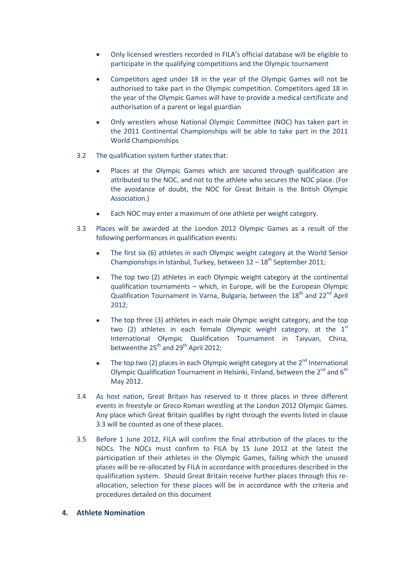- Only licensed wrestlers recorded in FILA's official database will be eligible to participate in the qualifying competitions and the Olympic tournament
- Competitors aged under 18 in the year of the Olympic Games will not be authorised to take part in the Olympic competition. Competitors aged 18 in the year of the Olympic Games will have to provide a medical certificate and authorisation of a parent or legal guardian
- Only wrestlers whose National Olympic Committee (NOC) has taken part in the 2011 Continental Championships will be able to take part in the 2011 World Championships
- 3.2 The qualification system further states that:
	- Places at the Olympic Games which are secured through qualification are attributed to the NOC, and not to the athlete who secures the NOC place. (For the avoidance of doubt, the NOC for Great Britain is the British Olympic Association.)
	- Each NOC may enter a maximum of one athlete per weight category.
- 3.3 Places will be awarded at the London 2012 Olympic Games as a result of the following performances in qualification events:
	- The first six (6) athletes in each Olympic weight category at the World Senior Championships in Istanbul, Turkey, between  $12 - 18$ <sup>th</sup> September 2011;
	- The top two (2) athletes in each Olympic weight category at the continental qualification tournaments – which, in Europe, will be the European Olympic Qualification Tournament in Varna, Bulgaria, between the  $18<sup>th</sup>$  and  $22<sup>nd</sup>$  April 2012;
	- The top three (3) athletes in each male Olympic weight category, and the top two (2) athletes in each female Olympic weight category, at the  $1<sup>st</sup>$ International Olympic Qualification Tournament in Taiyuan, China, betweenthe  $25<sup>th</sup>$  and  $29<sup>th</sup>$  April 2012:
	- The top two (2) places in each Olympic weight category at the  $2<sup>nd</sup>$  International Olympic Qualification Tournament in Helsinki, Finland, between the  $2^{nd}$  and  $6^{th}$ May 2012.
- 3.4 As host nation, Great Britain has reserved to it three places in three different events in freestyle or Greco-Roman wrestling at the London 2012 Olympic Games. Any place which Great Britain qualifies by right through the events listed in clause 3.3 will be counted as one of these places.
- 3.5 Before 1 June 2012, FILA will confirm the final attribution of the places to the NOCs. The NOCs must confirm to FILA by 15 June 2012 at the latest the participation of their athletes in the Olympic Games, failing which the unused places will be re-allocated by FILA in accordance with procedures described in the qualification system. Should Great Britain receive further places through this reallocation, selection for these places will be in accordance with the criteria and procedures detailed on this document
- **4. Athlete Nomination**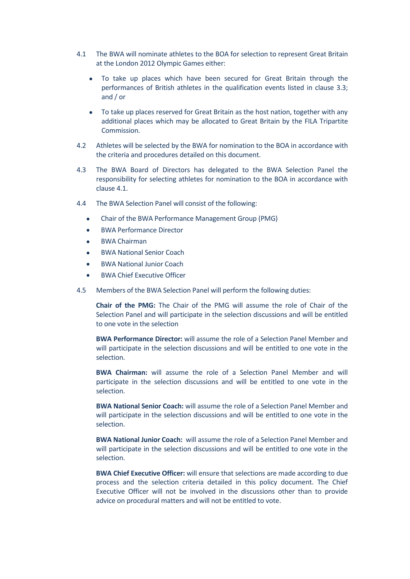- 4.1 The BWA will nominate athletes to the BOA for selection to represent Great Britain at the London 2012 Olympic Games either:
	- To take up places which have been secured for Great Britain through the performances of British athletes in the qualification events listed in clause 3.3; and / or
	- To take up places reserved for Great Britain as the host nation, together with any additional places which may be allocated to Great Britain by the FILA Tripartite Commission.
- 4.2 Athletes will be selected by the BWA for nomination to the BOA in accordance with the criteria and procedures detailed on this document.
- 4.3 The BWA Board of Directors has delegated to the BWA Selection Panel the responsibility for selecting athletes for nomination to the BOA in accordance with clause 4.1.
- 4.4 The BWA Selection Panel will consist of the following:
	- Chair of the BWA Performance Management Group (PMG)
	- BWA Performance Director
	- BWA Chairman
	- BWA National Senior Coach
	- BWA National Junior Coach
	- BWA Chief Executive Officer
- 4.5 Members of the BWA Selection Panel will perform the following duties:

**Chair of the PMG:** The Chair of the PMG will assume the role of Chair of the Selection Panel and will participate in the selection discussions and will be entitled to one vote in the selection

**BWA Performance Director:** will assume the role of a Selection Panel Member and will participate in the selection discussions and will be entitled to one vote in the selection.

**BWA Chairman:** will assume the role of a Selection Panel Member and will participate in the selection discussions and will be entitled to one vote in the selection.

**BWA National Senior Coach:** will assume the role of a Selection Panel Member and will participate in the selection discussions and will be entitled to one vote in the selection.

**BWA National Junior Coach:** will assume the role of a Selection Panel Member and will participate in the selection discussions and will be entitled to one vote in the selection.

**BWA Chief Executive Officer:** will ensure that selections are made according to due process and the selection criteria detailed in this policy document. The Chief Executive Officer will not be involved in the discussions other than to provide advice on procedural matters and will not be entitled to vote.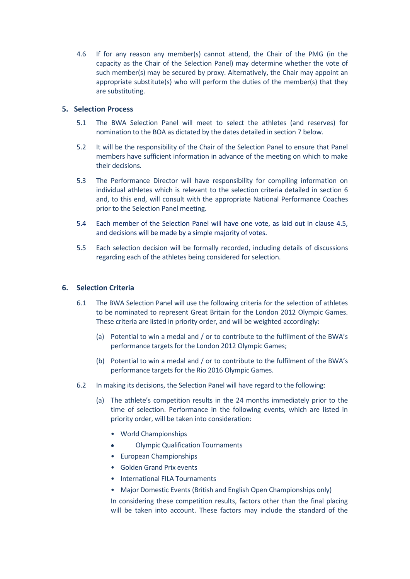4.6 If for any reason any member(s) cannot attend, the Chair of the PMG (in the capacity as the Chair of the Selection Panel) may determine whether the vote of such member(s) may be secured by proxy. Alternatively, the Chair may appoint an appropriate substitute(s) who will perform the duties of the member(s) that they are substituting.

## **5. Selection Process**

- 5.1 The BWA Selection Panel will meet to select the athletes (and reserves) for nomination to the BOA as dictated by the dates detailed in section 7 below.
- 5.2 It will be the responsibility of the Chair of the Selection Panel to ensure that Panel members have sufficient information in advance of the meeting on which to make their decisions.
- 5.3 The Performance Director will have responsibility for compiling information on individual athletes which is relevant to the selection criteria detailed in section 6 and, to this end, will consult with the appropriate National Performance Coaches prior to the Selection Panel meeting.
- 5.4 Each member of the Selection Panel will have one vote, as laid out in clause 4.5, and decisions will be made by a simple majority of votes.
- 5.5 Each selection decision will be formally recorded, including details of discussions regarding each of the athletes being considered for selection.

# **6. Selection Criteria**

- 6.1 The BWA Selection Panel will use the following criteria for the selection of athletes to be nominated to represent Great Britain for the London 2012 Olympic Games. These criteria are listed in priority order, and will be weighted accordingly:
	- (a) Potential to win a medal and / or to contribute to the fulfilment of the BWA's performance targets for the London 2012 Olympic Games;
	- (b) Potential to win a medal and / or to contribute to the fulfilment of the BWA's performance targets for the Rio 2016 Olympic Games.
- 6.2 In making its decisions, the Selection Panel will have regard to the following:
	- (a) The athlete's competition results in the 24 months immediately prior to the time of selection. Performance in the following events, which are listed in priority order, will be taken into consideration:
		- World Championships
		- Olympic Qualification Tournaments
		- European Championships
		- Golden Grand Prix events
		- International FILA Tournaments
		- Major Domestic Events (British and English Open Championships only)

In considering these competition results, factors other than the final placing will be taken into account. These factors may include the standard of the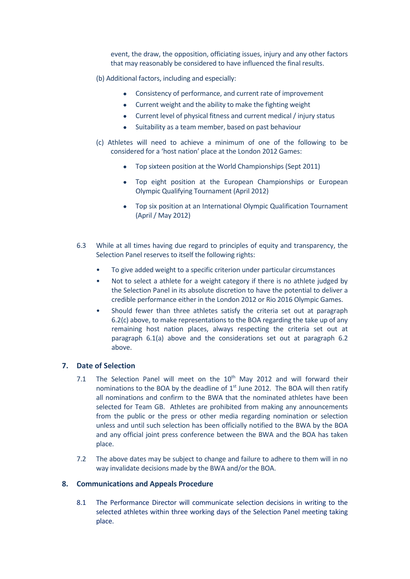event, the draw, the opposition, officiating issues, injury and any other factors that may reasonably be considered to have influenced the final results.

- (b) Additional factors, including and especially:
	- Consistency of performance, and current rate of improvement
	- Current weight and the ability to make the fighting weight
	- Current level of physical fitness and current medical / injury status
	- Suitability as a team member, based on past behaviour
- (c) Athletes will need to achieve a minimum of one of the following to be considered for a 'host nation' place at the London 2012 Games:
	- Top sixteen position at the World Championships (Sept 2011)
	- Top eight position at the European Championships or European Olympic Qualifying Tournament (April 2012)
	- Top six position at an International Olympic Qualification Tournament (April / May 2012)
- 6.3 While at all times having due regard to principles of equity and transparency, the Selection Panel reserves to itself the following rights:
	- To give added weight to a specific criterion under particular circumstances
	- Not to select a athlete for a weight category if there is no athlete judged by the Selection Panel in its absolute discretion to have the potential to deliver a credible performance either in the London 2012 or Rio 2016 Olympic Games.
	- Should fewer than three athletes satisfy the criteria set out at paragraph 6.2(c) above, to make representations to the BOA regarding the take up of any remaining host nation places, always respecting the criteria set out at paragraph 6.1(a) above and the considerations set out at paragraph 6.2 above.

# **7. Date of Selection**

- 7.1 The Selection Panel will meet on the  $10<sup>th</sup>$  May 2012 and will forward their nominations to the BOA by the deadline of  $1<sup>st</sup>$  June 2012. The BOA will then ratify all nominations and confirm to the BWA that the nominated athletes have been selected for Team GB. Athletes are prohibited from making any announcements from the public or the press or other media regarding nomination or selection unless and until such selection has been officially notified to the BWA by the BOA and any official joint press conference between the BWA and the BOA has taken place.
- 7.2 The above dates may be subject to change and failure to adhere to them will in no way invalidate decisions made by the BWA and/or the BOA.

### **8. Communications and Appeals Procedure**

8.1 The Performance Director will communicate selection decisions in writing to the selected athletes within three working days of the Selection Panel meeting taking place.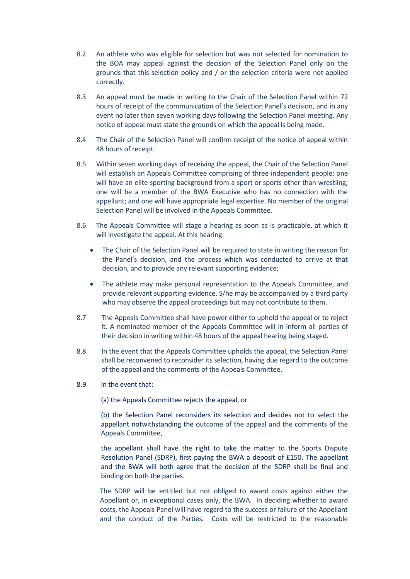- 8.2 An athlete who was eligible for selection but was not selected for nomination to the BOA may appeal against the decision of the Selection Panel only on the grounds that this selection policy and / or the selection criteria were not applied correctly.
- 8.3 An appeal must be made in writing to the Chair of the Selection Panel within 72 hours of receipt of the communication of the Selection Panel's decision, and in any event no later than seven working days following the Selection Panel meeting. Any notice of appeal must state the grounds on which the appeal is being made.
- 8.4 The Chair of the Selection Panel will confirm receipt of the notice of appeal within 48 hours of receipt.
- 8.5 Within seven working days of receiving the appeal, the Chair of the Selection Panel will establish an Appeals Committee comprising of three independent people: one will have an elite sporting background from a sport or sports other than wrestling; one will be a member of the BWA Executive who has no connection with the appellant; and one will have appropriate legal expertise. No member of the original Selection Panel will be involved in the Appeals Committee.
- 8.6 The Appeals Committee will stage a hearing as soon as is practicable, at which it will investigate the appeal. At this hearing:
	- The Chair of the Selection Panel will be required to state in writing the reason for the Panel's decision, and the process which was conducted to arrive at that decision, and to provide any relevant supporting evidence;
	- The athlete may make personal representation to the Appeals Committee, and provide relevant supporting evidence. S/he may be accompanied by a third party who may observe the appeal proceedings but may not contribute to them.
- 8.7 The Appeals Committee shall have power either to uphold the appeal or to reject it. A nominated member of the Appeals Committee will in inform all parties of their decision in writing within 48 hours of the appeal hearing being staged.
- 8.8 In the event that the Appeals Committee upholds the appeal, the Selection Panel shall be reconvened to reconsider its selection, having due regard to the outcome of the appeal and the comments of the Appeals Committee.
- 8.9 In the event that:

(a) the Appeals Committee rejects the appeal, or

(b) the Selection Panel reconsiders its selection and decides not to select the appellant notwithstanding the outcome of the appeal and the comments of the Appeals Committee,

the appellant shall have the right to take the matter to the Sports Dispute Resolution Panel (SDRP), first paying the BWA a deposit of £150. The appellant and the BWA will both agree that the decision of the SDRP shall be final and binding on both the parties.

The SDRP will be entitled but not obliged to award costs against either the Appellant or, in exceptional cases only, the BWA. In deciding whether to award costs, the Appeals Panel will have regard to the success or failure of the Appellant and the conduct of the Parties. Costs will be restricted to the reasonable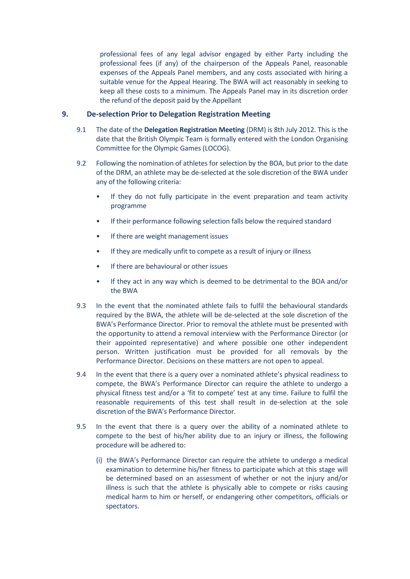professional fees of any legal advisor engaged by either Party including the professional fees (if any) of the chairperson of the Appeals Panel, reasonable expenses of the Appeals Panel members, and any costs associated with hiring a suitable venue for the Appeal Hearing. The BWA will act reasonably in seeking to keep all these costs to a minimum. The Appeals Panel may in its discretion order the refund of the deposit paid by the Appellant

### **9. De-selection Prior to Delegation Registration Meeting**

- 9.1 The date of the **Delegation Registration Meeting** (DRM) is 8th July 2012. This is the date that the British Olympic Team is formally entered with the London Organising Committee for the Olympic Games (LOCOG).
- 9.2 Following the nomination of athletes for selection by the BOA, but prior to the date of the DRM, an athlete may be de-selected at the sole discretion of the BWA under any of the following criteria:
	- If they do not fully participate in the event preparation and team activity programme
	- If their performance following selection falls below the required standard
	- If there are weight management issues
	- If they are medically unfit to compete as a result of injury or illness
	- If there are behavioural or other issues
	- If they act in any way which is deemed to be detrimental to the BOA and/or the BWA
- 9.3 In the event that the nominated athlete fails to fulfil the behavioural standards required by the BWA, the athlete will be de-selected at the sole discretion of the BWA's Performance Director. Prior to removal the athlete must be presented with the opportunity to attend a removal interview with the Performance Director (or their appointed representative) and where possible one other independent person. Written justification must be provided for all removals by the Performance Director. Decisions on these matters are not open to appeal.
- 9.4 In the event that there is a query over a nominated athlete's physical readiness to compete, the BWA's Performance Director can require the athlete to undergo a physical fitness test and/or a 'fit to compete' test at any time. Failure to fulfil the reasonable requirements of this test shall result in de-selection at the sole discretion of the BWA's Performance Director.
- 9.5 In the event that there is a query over the ability of a nominated athlete to compete to the best of his/her ability due to an injury or illness, the following procedure will be adhered to:
	- (i) the BWA's Performance Director can require the athlete to undergo a medical examination to determine his/her fitness to participate which at this stage will be determined based on an assessment of whether or not the injury and/or illness is such that the athlete is physically able to compete or risks causing medical harm to him or herself, or endangering other competitors, officials or spectators.